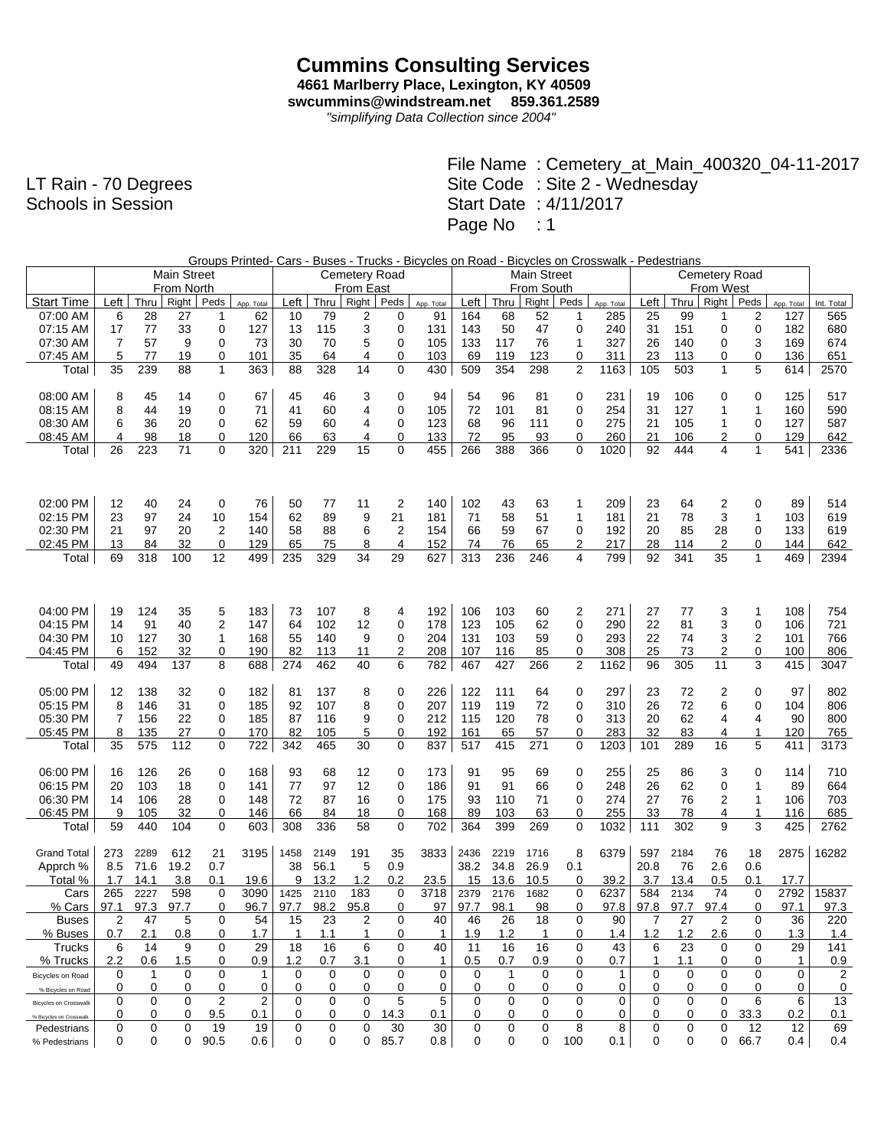## **Cummins Consulting Services 4661 Marlberry Place, Lexington, KY 40509**

**swcummins@windstream.net 859.361.2589**

*"simplifying Data Collection since 2004"*

LT Rain - 70 Degrees Schools in Session

|                              |      |      |                    |      |            | Groups Printed- Cars - Buses - Trucks - Bicycles on Road - Bicycles on Crosswalk - Pedestrians<br>Cemetery Road |      |                  |      |              |      |      |                    |      |            |      |      |       |              |             |            |
|------------------------------|------|------|--------------------|------|------------|-----------------------------------------------------------------------------------------------------------------|------|------------------|------|--------------|------|------|--------------------|------|------------|------|------|-------|--------------|-------------|------------|
|                              |      |      | <b>Main Street</b> |      |            | <b>Cemetery Road</b>                                                                                            |      |                  |      |              |      |      | <b>Main Street</b> |      |            |      |      |       |              |             |            |
|                              |      |      | From North         |      |            |                                                                                                                 |      | <b>From East</b> |      |              |      |      | From South         |      |            |      |      |       |              |             |            |
| <b>Start Time</b>            | Left | Thru | Right              | Peds | App. Total | Left                                                                                                            | Thru | Right            | Peds | App. Total   | Left | Thru | Right              | Peds | App. Total | Left | Thru | Right | Peds         | App. Total  | Int. Total |
| 07:00 AM                     | 6    | 28   | 27                 | 1    | 62         | 10                                                                                                              | 79   | 2                | 0    | 91           | 164  | 68   | 52                 | 1    | 285        | 25   | 99   | 1     | 2            | 127         | 565        |
| 07:15 AM                     | 17   | 77   | 33                 | 0    | 127        | 13                                                                                                              | 115  | 3                | 0    | 131          | 143  | 50   | 47                 | 0    | 240        | 31   | 151  | 0     | 0            | 182         | 680        |
| 07:30 AM                     | 7    | 57   | 9                  | 0    | 73         | 30                                                                                                              | 70   | 5                | 0    | 105          | 133  | 117  | 76                 | 1    | 327        | 26   | 140  | 0     | 3            | 169         | 674        |
| 07:45 AM                     | 5    | 77   | 19                 | 0    | 101        | 35                                                                                                              | 64   | 4                | 0    | 103          | 69   | 119  | 123                | 0    | 311        | 23   | 113  | 0     | 0            | 136         | 651        |
| Total                        | 35   | 239  | 88                 | 1    | 363        | 88                                                                                                              | 328  | 14               | 0    | 430          | 509  | 354  | 298                | 2    | 1163       | 105  | 503  | 1     | 5            | 614         | 2570       |
|                              |      |      |                    |      |            |                                                                                                                 |      |                  |      |              |      |      |                    |      |            |      |      |       |              |             |            |
| 08:00 AM                     | 8    | 45   | 14                 | 0    | 67         | 45                                                                                                              | 46   | 3                | 0    | 94           | 54   | 96   | 81                 | 0    | 231        | 19   | 106  | 0     | 0            | 125         | 517        |
| 08:15 AM                     | 8    | 44   | 19                 | 0    | 71         | 41                                                                                                              | 60   | 4                | 0    | 105          | 72   | 101  | 81                 | 0    | 254        | 31   | 127  | 1     | $\mathbf{1}$ | 160         | 590        |
| 08:30 AM                     | 6    | 36   | 20                 | 0    | 62         | 59                                                                                                              | 60   | 4                | 0    | 123          | 68   | 96   | 111                | 0    | 275        | 21   | 105  | 1     | 0            | 127         | 587        |
| 08:45 AM                     | 4    | 98   | 18                 | 0    | 120        | 66                                                                                                              | 63   | 4                | 0    | 133          | 72   | 95   | 93                 | 0    | 260        | 21   | 106  | 2     | 0            | 129         | 642        |
| Total                        | 26   | 223  | 71                 | 0    | 320        | 211                                                                                                             | 229  | 15               | 0    | 455          | 266  | 388  | 366                | 0    | 1020       | 92   | 444  | 4     | 1            | 541         | 2336       |
|                              |      |      |                    |      |            |                                                                                                                 |      |                  |      |              |      |      |                    |      |            |      |      |       |              |             |            |
|                              |      |      |                    |      |            |                                                                                                                 |      |                  |      |              |      |      |                    |      |            |      |      |       |              |             |            |
|                              |      |      |                    |      |            |                                                                                                                 |      |                  |      |              |      |      |                    |      |            |      |      |       |              |             |            |
| 02:00 PM                     | 12   | 40   | 24                 | 0    | 76         | 50                                                                                                              | 77   | 11               | 2    | 140          | 102  | 43   | 63                 | 1    | 209        | 23   | 64   | 2     | 0            | 89          | 514        |
| 02:15 PM                     | 23   | 97   | 24                 | 10   | 154        | 62                                                                                                              | 89   | 9                | 21   | 181          | 71   | 58   | 51                 | 1    | 181        | 21   | 78   | 3     | 1            | 103         | 619        |
| 02:30 PM                     | 21   | 97   | 20                 | 2    | 140        | 58                                                                                                              | 88   | 6                | 2    | 154          | 66   | 59   | 67                 | 0    | 192        | 20   | 85   | 28    | 0            | 133         | 619        |
| 02:45 PM                     | 13   | 84   | 32                 | 0    | 129        | 65                                                                                                              | 75   | 8                | 4    | 152          | 74   | 76   | 65                 | 2    | 217        | 28   | 114  | 2     | 0            | 144         | 642        |
| Total                        | 69   | 318  | 100                | 12   | 499        | 235                                                                                                             | 329  | 34               | 29   | 627          | 313  | 236  | 246                | 4    | 799        | 92   | 341  | 35    | $\mathbf{1}$ | 469         | 2394       |
|                              |      |      |                    |      |            |                                                                                                                 |      |                  |      |              |      |      |                    |      |            |      |      |       |              |             |            |
|                              |      |      |                    |      |            |                                                                                                                 |      |                  |      |              |      |      |                    |      |            |      |      |       |              |             |            |
|                              |      |      |                    |      |            |                                                                                                                 |      |                  |      |              |      |      |                    |      |            |      |      |       |              |             |            |
| 04:00 PM                     | 19   | 124  | 35                 | 5    | 183        | 73                                                                                                              | 107  | 8                | 4    | 192          | 106  | 103  | 60                 | 2    | 271        | 27   | 77   | 3     | 1            | 108         | 754        |
| 04:15 PM                     | 14   | 91   | 40                 | 2    | 147        | 64                                                                                                              | 102  | 12               | 0    | 178          | 123  | 105  | 62                 | 0    | 290        | 22   | 81   | 3     | 0            | 106         | 721        |
| 04:30 PM                     | 10   | 127  | 30                 | 1    | 168        | 55                                                                                                              | 140  | 9                | 0    | 204          | 131  | 103  | 59                 | 0    | 293        | 22   | 74   | 3     | 2            | 101         | 766        |
| 04:45 PM                     | 6    | 152  | 32                 | 0    | 190        | 82                                                                                                              | 113  | 11               | 2    | 208          | 107  | 116  | 85                 | 0    | 308        | 25   | 73   | 2     | 0            | 100         | 806        |
| Total                        | 49   | 494  | 137                | 8    | 688        | 274                                                                                                             | 462  | 40               | 6    | 782          | 467  | 427  | 266                | 2    | 1162       | 96   | 305  | 11    | 3            | 415         | 3047       |
|                              |      |      |                    |      |            |                                                                                                                 |      |                  |      |              |      |      |                    |      |            |      |      |       |              |             |            |
| 05:00 PM                     | 12   | 138  | 32                 | 0    | 182        | 81                                                                                                              | 137  | 8                | 0    | 226          | 122  | 111  | 64                 | 0    | 297        | 23   | 72   | 2     | 0            | 97          | 802        |
| 05:15 PM                     | 8    | 146  | 31                 | 0    | 185        | 92                                                                                                              | 107  | 8                | 0    | 207          | 119  | 119  | 72                 | 0    | 310        | 26   | 72   | 6     | $\mathbf 0$  | 104         | 806        |
| 05:30 PM                     | 7    | 156  | 22                 | 0    | 185        | 87                                                                                                              | 116  | 9                | 0    | 212          | 115  | 120  | 78                 | 0    | 313        | 20   | 62   | 4     | 4            | 90          | 800        |
| 05:45 PM                     | 8    | 135  | 27                 | 0    | 170        | 82                                                                                                              | 105  | 5                | 0    | 192          | 161  | 65   | 57                 | 0    | 283        | 32   | 83   | 4     | $\mathbf{1}$ | 120         | 765        |
| Total                        | 35   | 575  | 112                | 0    | 722        | 342                                                                                                             | 465  | 30               | 0    | 837          | 517  | 415  | 271                | 0    | 1203       | 101  | 289  | 16    | 5            | 411         | 3173       |
|                              |      |      |                    |      |            |                                                                                                                 |      |                  |      |              |      |      |                    |      |            |      |      |       |              |             |            |
| 06:00 PM                     | 16   | 126  | 26                 | 0    | 168        | 93                                                                                                              | 68   | 12               | 0    | 173          | 91   | 95   | 69                 | 0    | 255        | 25   | 86   | 3     | 0            | 114         | 710        |
| 06:15 PM                     | 20   | 103  | 18                 | 0    | 141        | 77                                                                                                              | 97   | 12               | 0    | 186          | 91   | 91   | 66                 | 0    | 248        | 26   | 62   | 0     | 1            | 89          | 664        |
| 06:30 PM                     | 14   | 106  | 28                 | 0    | 148        | 72                                                                                                              | 87   | 16               | 0    | 175          | 93   | 110  | 71                 | 0    | 274        | 27   | 76   | 2     | 1            | 106         | 703        |
| 06:45 PM                     | 9    | 105  | 32                 | 0    | 146        | 66                                                                                                              | 84   | 18               | 0    | 168          | 89   | 103  | 63                 | 0    | 255        | 33   | 78   | 4     | 1            | 116         | 685        |
| Total                        | 59   | 440  | 104                | 0    | 603        | 308                                                                                                             | 336  | 58               | 0    | 702          | 364  | 399  | 269                | 0    | 1032       | 111  | 302  | 9     | 3            | 425         | 2762       |
|                              |      |      |                    |      |            |                                                                                                                 |      |                  |      |              |      |      |                    |      |            |      |      |       |              |             |            |
| <b>Grand Total</b>           | 273  | 2289 | 612                | 21   | 3195       | 1458                                                                                                            | 2149 | 191              | 35   | 3833         | 2436 | 2219 | 1716               | 8    | 6379       | 597  | 2184 | 76    | 18           | 2875        | 16282      |
| Apprch %                     | 8.5  | 71.6 | 19.2               | 0.7  |            | 38                                                                                                              | 56.1 | 5                | 0.9  |              | 38.2 | 34.8 | 26.9               | 0.1  |            | 20.8 | 76   | 2.6   | 0.6          |             |            |
| Total %                      | 1.7  | 14.1 | 3.8                | 0.1  | 19.6       | 9                                                                                                               | 13.2 | 1.2              | 0.2  | 23.5         | 15   | 13.6 | 10.5               | 0    | 39.2       | 3.7  | 13.4 | 0.5   | 0.1          | 17.7        |            |
| Cars                         | 265  | 2227 | 598                | 0    | 3090       | 1425                                                                                                            | 2110 | 183              | 0    | 3718         | 2379 | 2176 | 1682               | 0    | 6237       | 584  | 2134 | 74    | $\mathbf 0$  | 2792        | 15837      |
| % Cars                       | 97.1 | 97.3 | 97.7               | 0    | 96.7       | 97.7                                                                                                            | 98.2 | 95.8             | ∩    | 97           | 97.7 | 98.1 | 98                 | 0    | 97.8       | 97.8 | 97.7 | 97.4  | 0            | 97.1        | 97.3       |
| <b>Buses</b>                 | 2    | 47   | 5                  | 0    | 54         | 15                                                                                                              | 23   | 2                | 0    | 40           | 46   | 26   | 18                 | 0    | 90         | 7    | 27   | 2     | 0            | 36          | 220        |
| % Buses                      | 0.7  | 2.1  | 0.8                | 0    | 1.7        | 1                                                                                                               | 1.1  | 1                | 0    | $\mathbf{1}$ | 1.9  | 1.2  | $\mathbf{1}$       | 0    | 1.4        | 1.2  | 1.2  | 2.6   | 0            | 1.3         | 1.4        |
| Trucks                       | 6    | 14   | 9                  | 0    | 29         | 18                                                                                                              | 16   | 6                | 0    | 40           | 11   | 16   | 16                 | 0    | 43         | 6    | 23   | 0     | 0            | 29          | 141        |
| % Trucks                     | 2.2  | 0.6  | 1.5                | 0    | 0.9        | 1.2                                                                                                             | 0.7  | 3.1              | 0    | 1            | 0.5  | 0.7  | 0.9                | 0    | 0.7        | 1    | 1.1  | 0     | 0            | 1           | 0.9        |
| Bicycles on Road             | 0    | 1    | 0                  | 0    | 1          | 0                                                                                                               | 0    | 0                | 0    | 0            | 0    | 1    | 0                  | 0    | 1          | 0    | 0    | 0     | 0            | $\mathbf 0$ | 2          |
| % Bicycles on Road           | 0    | 0    | 0                  | 0    | 0          | 0                                                                                                               | 0    | 0                | 0    | 0            | 0    | 0    | 0                  | 0    | 0          | 0    | 0    | 0     | 0            | 0           | 0          |
| <b>Bicycles on Crosswalk</b> | 0    | 0    | 0                  | 2    | 2          | $\mathbf 0$                                                                                                     | 0    | $\mathbf 0$      | 5    | 5            | 0    | 0    | 0                  | 0    | 0          | 0    | 0    | 0     | 6            | 6           | 13         |
| % Bicycles on Crosswalk      | 0    | 0    | 0                  | 9.5  | 0.1        | 0                                                                                                               | 0    | 0                | 14.3 | 0.1          | 0    | 0    | 0                  | 0    | 0          | 0    | 0    | 0     | 33.3         | 0.2         | 0.1        |
| Pedestrians                  | 0    | 0    | 0                  | 19   | 19         | 0                                                                                                               | 0    | $\mathbf 0$      | 30   | 30           | 0    | 0    | 0                  | 8    | 8          | 0    | 0    | 0     | 12           | 12          | 69         |
| % Pedestrians                | 0    | 0    | 0                  | 90.5 | 0.6        | 0                                                                                                               | 0    | $\mathbf{0}$     | 85.7 | 0.8          | 0    | 0    | 0                  | 100  | 0.1        | 0    | 0    | 0     | 66.7         | 0.4         | 0.4        |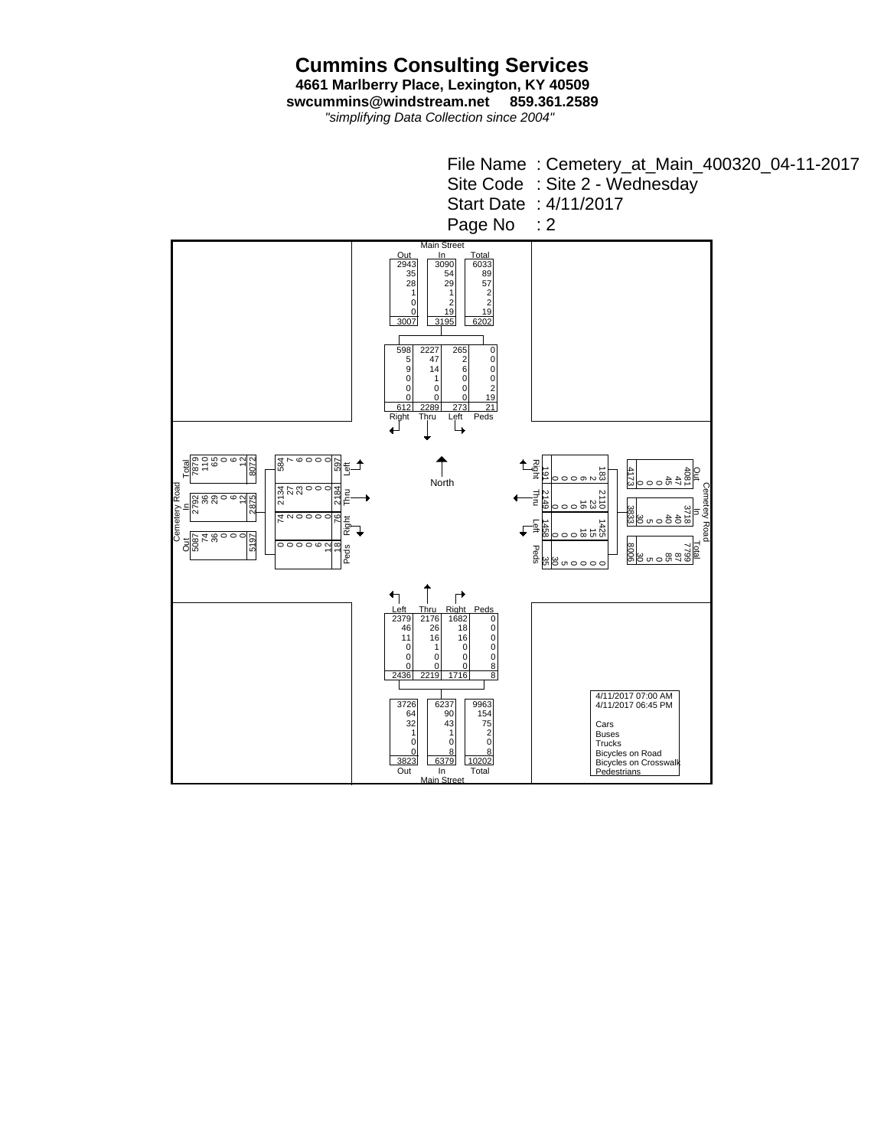**Cummins Consulting Services 4661 Marlberry Place, Lexington, KY 40509 swcummins@windstream.net 859.361.2589**

*"simplifying Data Collection since 2004"*

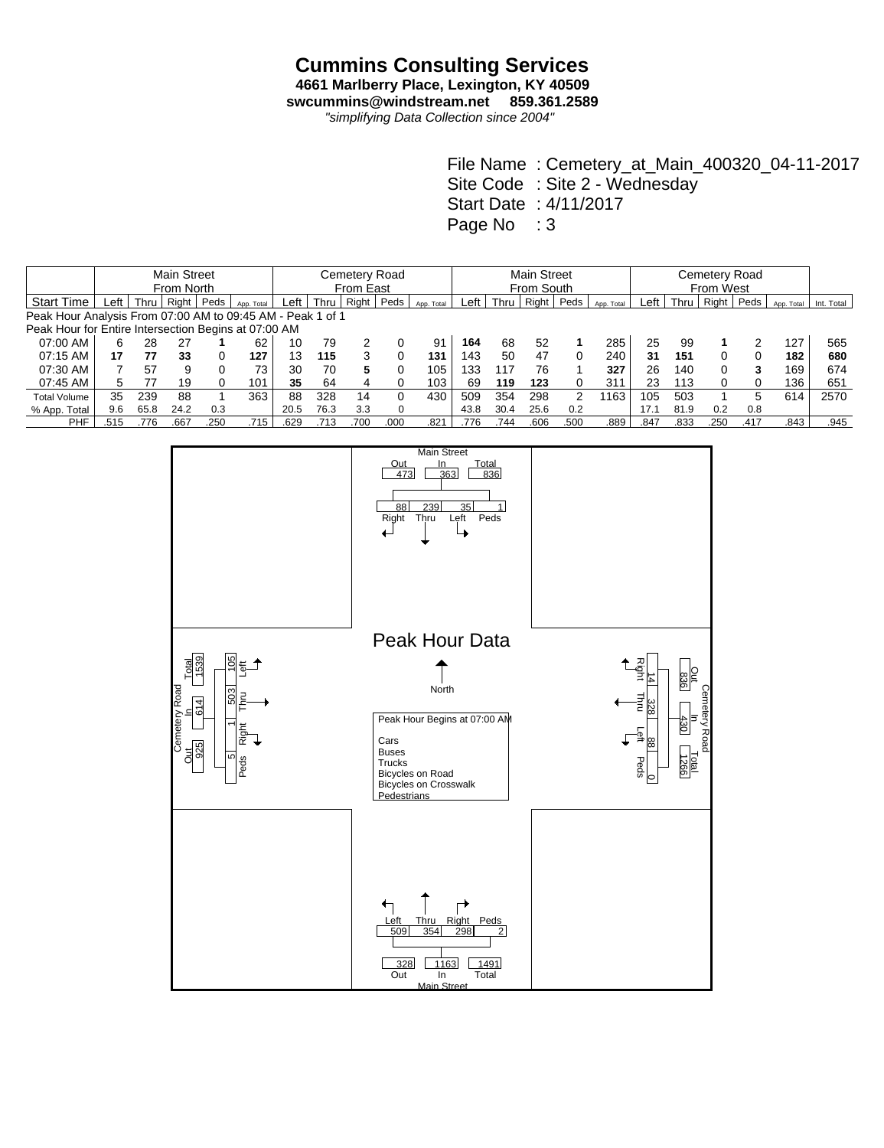## **Cummins Consulting Services**

**4661 Marlberry Place, Lexington, KY 40509 swcummins@windstream.net 859.361.2589**

*"simplifying Data Collection since 2004"*

|                                                            |            | <b>Main Street</b> |       | Cemetery Road |            |      |           |       |          |            | <b>Main Street</b> |      |            |      |            |      |      |       |      |            |            |
|------------------------------------------------------------|------------|--------------------|-------|---------------|------------|------|-----------|-------|----------|------------|--------------------|------|------------|------|------------|------|------|-------|------|------------|------------|
|                                                            | From North |                    |       |               |            |      | From East |       |          |            |                    |      | From South |      |            |      |      |       |      |            |            |
| <b>Start Time</b>                                          | Left       | Thru               | Right | Peds          | App. Total | Left | Thru      | Right | Peds     | App. Total | Left               | Thru | Right      | Peds | App. Total | Left | Thru | Right | Peds | App. Total | Int. Total |
| Peak Hour Analysis From 07:00 AM to 09:45 AM - Peak 1 of 1 |            |                    |       |               |            |      |           |       |          |            |                    |      |            |      |            |      |      |       |      |            |            |
| Peak Hour for Entire Intersection Begins at 07:00 AM       |            |                    |       |               |            |      |           |       |          |            |                    |      |            |      |            |      |      |       |      |            |            |
| 07:00 AM                                                   | 6          | 28                 | 27    |               | 62         | 10   | 79        |       |          | 91         | 164                | 68   | 52         |      | 285        | 25   | 99   |       |      | 127        | 565        |
| 07:15 AM                                                   | 17         | 77                 | 33    |               | 127        | 13   | 115       |       | 0        | 131        | 143                | 50   | 47         | 0    | 240        | 31   | 151  | 0     |      | 182        | 680        |
| 07:30 AM                                                   |            | 57                 | 9     |               | 73         | 30   | 70        | 5     | 0        | 105        | 133                | 117  | 76         |      | 327        | 26   | 140  |       |      | 169        | 674        |
| 07:45 AM                                                   | 5          | 77                 | 19    |               | 101        | 35   | 64        |       |          | 103        | 69                 | 119  | 123        | 0    | 311        | 23   | 113  |       |      | 136        | 651        |
| <b>Total Volume</b>                                        | 35         | 239                | 88    |               | 363        | 88   | 328       | 14    | 0        | 430        | 509                | 354  | 298        | 2    | 1163       | 105  | 503  |       | 5    | 614        | 2570       |
| % App. Total                                               | 9.6        | 65.8               | 24.2  | 0.3           |            | 20.5 | 76.3      | 3.3   | $\Omega$ |            | 43.8               | 30.4 | 25.6       | 0.2  |            | 17.1 | 81.9 | 0.2   | 0.8  |            |            |
| <b>PHF</b>                                                 | .515       | 776                | .667  | .250          | .715       | .629 | .713      | .700  | .000     | .821       | .776               | .744 | .606       | .500 | .889       | .847 | .833 | .250  | .417 | .843       | .945       |

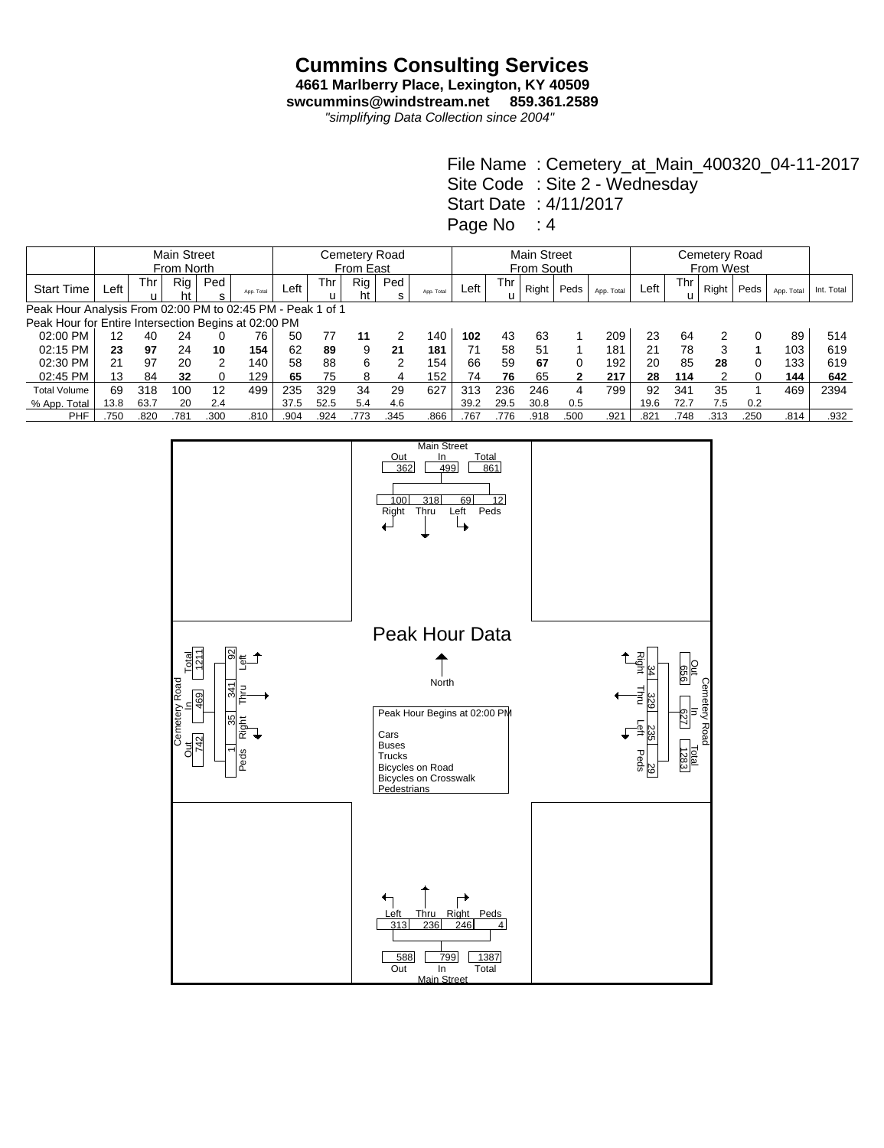## **Cummins Consulting Services**

**4661 Marlberry Place, Lexington, KY 40509 swcummins@windstream.net 859.361.2589**

*"simplifying Data Collection since 2004"*

|                                                            |            |      | <b>Main Street</b> |               |            | Cemetery Road |           |           |               |            |      |          | <b>Main Street</b> |      |            |      |          |       |      |            |            |
|------------------------------------------------------------|------------|------|--------------------|---------------|------------|---------------|-----------|-----------|---------------|------------|------|----------|--------------------|------|------------|------|----------|-------|------|------------|------------|
|                                                            | From North |      |                    |               |            |               | From East |           |               |            |      |          | From South         |      |            |      |          |       |      |            |            |
| <b>Start Time</b>                                          | Left       | Thr  | Rig<br>ht          | Ped<br>s      | App. Total | ∟eft          | Thr       | Rig<br>ht | Ped<br>s      | App. Total | Left | Thr<br>u | Right              | Peds | App. Total | Left | Thr<br>u | Right | Peds | App. Total | Int. Total |
| Peak Hour Analysis From 02:00 PM to 02:45 PM - Peak 1 of 1 |            |      |                    |               |            |               |           |           |               |            |      |          |                    |      |            |      |          |       |      |            |            |
| Peak Hour for Entire Intersection Begins at 02:00 PM       |            |      |                    |               |            |               |           |           |               |            |      |          |                    |      |            |      |          |       |      |            |            |
| 02:00 PM                                                   | 12         | 40   | 24                 |               | 76         | 50            | 77        | 11        | 2             | 140        | 102  | 43       | 63                 |      | 209        | 23   | 64       |       |      | 89         | 514        |
| 02:15 PM                                                   | 23         | 97   | 24                 | 10            | 154        | 62            | 89        | 9         | 21            | 181        | 71   | 58       | 51                 |      | 181        | 21   | 78       |       |      | 103        | 619        |
| 02:30 PM                                                   | 21         | 97   | 20                 | $\mathcal{P}$ | 140.       | 58            | 88        | 6         | $\mathcal{P}$ | 154        | 66   | 59       | 67                 | 0    | 192        | 20   | 85       | 28    |      | 133        | 619        |
| 02:45 PM                                                   | 13         | 84   | 32                 | 0             | 129        | 65            | 75        | 8         | 4             | 152        | 74   | 76       | 65                 | 2    | 217        | 28   | 114      | 2     |      | 144        | 642        |
| <b>Total Volume</b>                                        | 69         | 318  | 100                | 12            | 499        | 235           | 329       | 34        | 29            | 627        | 313  | 236      | 246                | 4    | 799        | 92   | 341      | 35    |      | 469        | 2394       |
| % App. Total                                               | 13.8       | 63.7 | 20                 | 2.4           |            | 37.5          | 52.5      | 5.4       | 4.6           |            | 39.2 | 29.5     | 30.8               | 0.5  |            | 19.6 | 72.7     | 7.5   | 0.2  |            |            |
| <b>PHF</b>                                                 | .750       | 82C  | .781               | .300          | .810       | .904          | .924      | .773      | .345          | .866       | .767 | .776     | .918               | .500 | .921       | .821 | .748     | .313  | .250 | .814       | .932       |